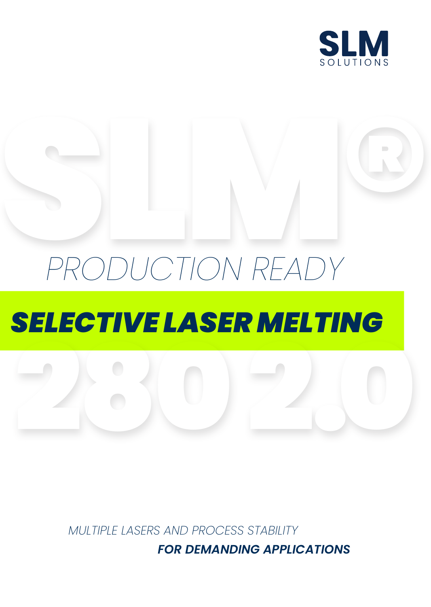

# RODUCTION READY *PRODUCTION READY* ® *SELECTIVE LASER MELTING*

280 2.0

*MULTIPLE LASERS AND PROCESS STABILITY*

*FOR DEMANDING APPLICATIONS*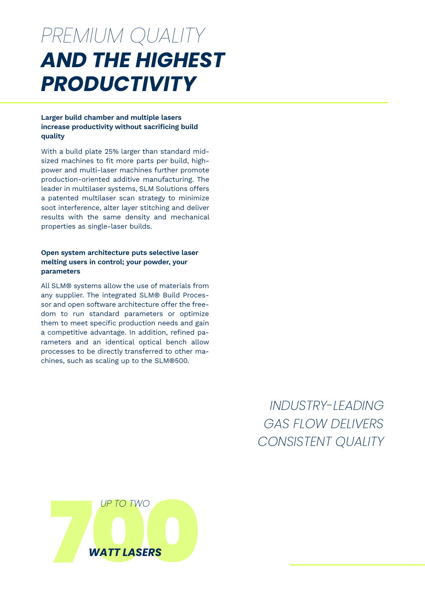## *AND THE HIGHEST PRODUCTIVITY PREMIUM QUALITY*

## **Larger build chamber and multiple lasers increase productivity without sacrificing build quality**

With a build plate 25% larger than standard midsized machines to fit more parts per build, highpower and multi-laser machines further promote production-oriented additive manufacturing. The leader in multilaser systems, SLM Solutions offers a patented multilaser scan strategy to minimize soot interference, alter layer stitching and deliver results with the same density and mechanical properties as single-laser builds.

### **Open system architecture puts selective laser melting users in control; your powder, your parameters**

All SLM® systems allow the use of materials from any supplier. The integrated SLM® Build Processor and open software architecture offer the freedom to run standard parameters or optimize them to meet specific production needs and gain a competitive advantage. In addition, refined parameters and an identical optical bench allow processes to be directly transferred to other machines, such as scaling up to the SLM®500.

> *INDUSTRY-LEADING GAS FLOW DELIVERS CONSISTENT QUALITY*

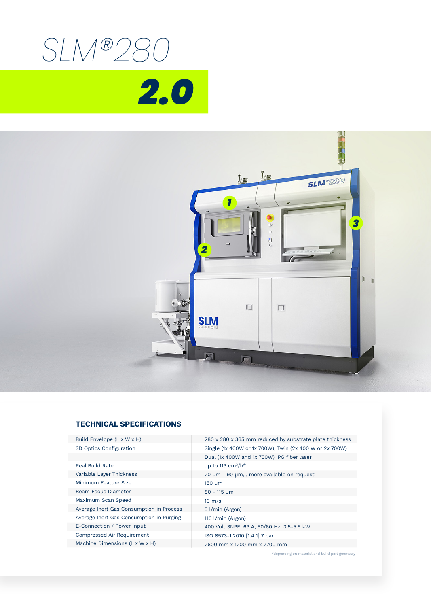



### **TECHNICAL SPECIFICATIONS**

| Build Envelope (L x W x H)               | 280 x 280 x 365 mm reduced by substrate plate thickness |
|------------------------------------------|---------------------------------------------------------|
| 3D Optics Configuration                  | Single (1x 400W or 1x 700W), Twin (2x 400 W or 2x 700W) |
|                                          | Dual (1x 400W and 1x 700W) IPG fiber laser              |
| Real Build Rate                          | up to 113 $cm^3/h*$                                     |
| Variable Layer Thickness                 | 20 µm - 90 µm,, more available on request               |
| Minimum Feature Size                     | $150 \mu m$                                             |
| Beam Focus Diameter                      | $80 - 115$ µm                                           |
| Maximum Scan Speed                       | $10 \text{ m/s}$                                        |
| Average Inert Gas Consumption in Process | 5 l/min (Argon)                                         |
| Average Inert Gas Consumption in Purging | 110 l/min (Argon)                                       |
| E-Connection / Power Input               | 400 Volt 3NPE, 63 A, 50/60 Hz, 3.5-5.5 kW               |
| Compressed Air Requirement               | ISO 8573-1:2010 [1:4:1] 7 bar                           |
| Machine Dimensions (L x W x H)           | 2600 mm x 1200 mm x 2700 mm                             |
|                                          |                                                         |

\*depending on material and build part geometry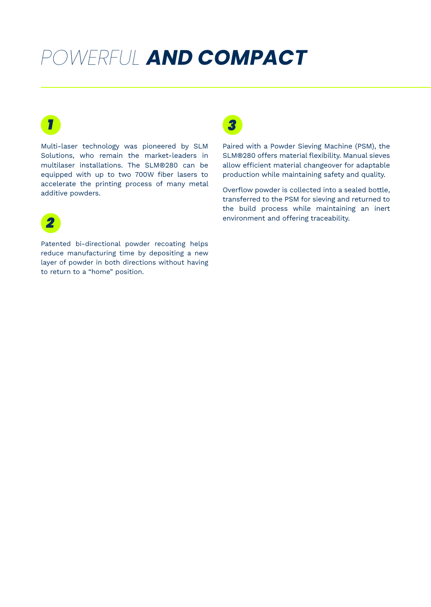## *POWERFUL AND COMPACT*

Multi-laser technology was pioneered by SLM Solutions, who remain the market-leaders in multilaser installations. The SLM®280 can be equipped with up to two 700W fiber lasers to accelerate the printing process of many metal additive powders.

## *2*

*1*

Patented bi-directional powder recoating helps reduce manufacturing time by depositing a new layer of powder in both directions without having to return to a "home" position.



Paired with a Powder Sieving Machine (PSM), the SLM®280 offers material flexibility. Manual sieves allow efficient material changeover for adaptable production while maintaining safety and quality.

Overflow powder is collected into a sealed bottle, transferred to the PSM for sieving and returned to the build process while maintaining an inert environment and offering traceability.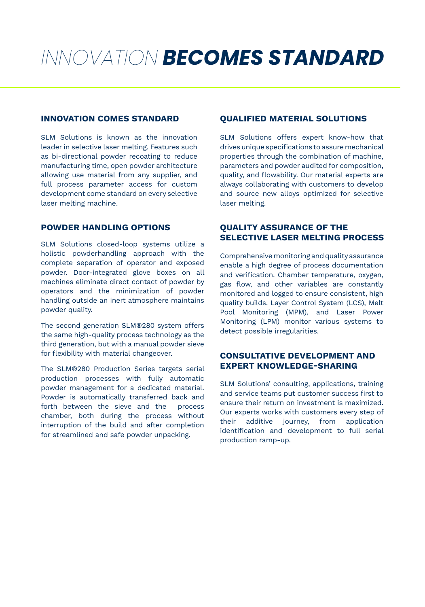# *INNOVATION BECOMES STANDARD*

SLM Solutions is known as the innovation leader in selective laser melting. Features such as bi-directional powder recoating to reduce manufacturing time, open powder architecture allowing use material from any supplier, and full process parameter access for custom development come standard on every selective laser melting machine.

## **POWDER HANDLING OPTIONS**

SLM Solutions closed-loop systems utilize a holistic powderhandling approach with the complete separation of operator and exposed powder. Door-integrated glove boxes on all machines eliminate direct contact of powder by operators and the minimization of powder handling outside an inert atmosphere maintains powder quality.

The second generation SLM®280 system offers the same high-quality process technology as the third generation, but with a manual powder sieve for flexibility with material changeover.

The SLM®280 Production Series targets serial production processes with fully automatic powder management for a dedicated material. Powder is automatically transferred back and forth between the sieve and the process chamber, both during the process without interruption of the build and after completion for streamlined and safe powder unpacking.

## **INNOVATION COMES STANDARD QUALIFIED MATERIAL SOLUTIONS**

SLM Solutions offers expert know-how that drives unique specifications to assure mechanical properties through the combination of machine, parameters and powder audited for composition, quality, and flowability. Our material experts are always collaborating with customers to develop and source new alloys optimized for selective laser melting.

## **QUALITY ASSURANCE OF THE SELECTIVE LASER MELTING PROCESS**

Comprehensive monitoring and quality assurance enable a high degree of process documentation and verification. Chamber temperature, oxygen, gas flow, and other variables are constantly monitored and logged to ensure consistent, high quality builds. Layer Control System (LCS), Melt Pool Monitoring (MPM), and Laser Power Monitoring (LPM) monitor various systems to detect possible irregularities.

## **CONSULTATIVE DEVELOPMENT AND EXPERT KNOWLEDGE-SHARING**

SLM Solutions' consulting, applications, training and service teams put customer success first to ensure their return on investment is maximized. Our experts works with customers every step of their additive journey, from application identification and development to full serial production ramp-up.